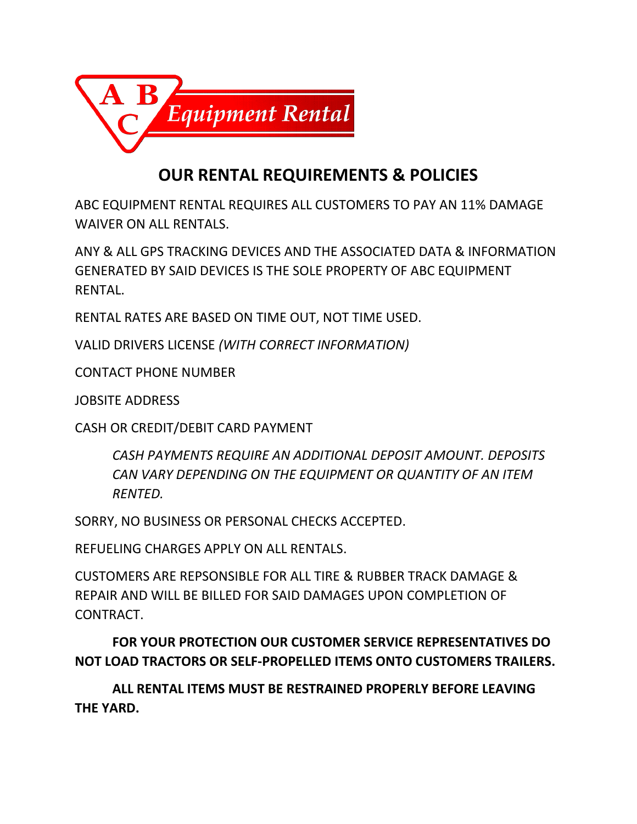

## **OUR RENTAL REQUIREMENTS & POLICIES**

ABC EQUIPMENT RENTAL REQUIRES ALL CUSTOMERS TO PAY AN 11% DAMAGE WAIVER ON ALL RENTALS.

ANY & ALL GPS TRACKING DEVICES AND THE ASSOCIATED DATA & INFORMATION GENERATED BY SAID DEVICES IS THE SOLE PROPERTY OF ABC EQUIPMENT RENTAL.

RENTAL RATES ARE BASED ON TIME OUT, NOT TIME USED.

VALID DRIVERS LICENSE *(WITH CORRECT INFORMATION)*

CONTACT PHONE NUMBER

JOBSITE ADDRESS

CASH OR CREDIT/DEBIT CARD PAYMENT

*CASH PAYMENTS REQUIRE AN ADDITIONAL DEPOSIT AMOUNT. DEPOSITS CAN VARY DEPENDING ON THE EQUIPMENT OR QUANTITY OF AN ITEM RENTED.*

SORRY, NO BUSINESS OR PERSONAL CHECKS ACCEPTED.

REFUELING CHARGES APPLY ON ALL RENTALS.

CUSTOMERS ARE REPSONSIBLE FOR ALL TIRE & RUBBER TRACK DAMAGE & REPAIR AND WILL BE BILLED FOR SAID DAMAGES UPON COMPLETION OF CONTRACT.

**FOR YOUR PROTECTION OUR CUSTOMER SERVICE REPRESENTATIVES DO NOT LOAD TRACTORS OR SELF-PROPELLED ITEMS ONTO CUSTOMERS TRAILERS.** 

**ALL RENTAL ITEMS MUST BE RESTRAINED PROPERLY BEFORE LEAVING THE YARD.**